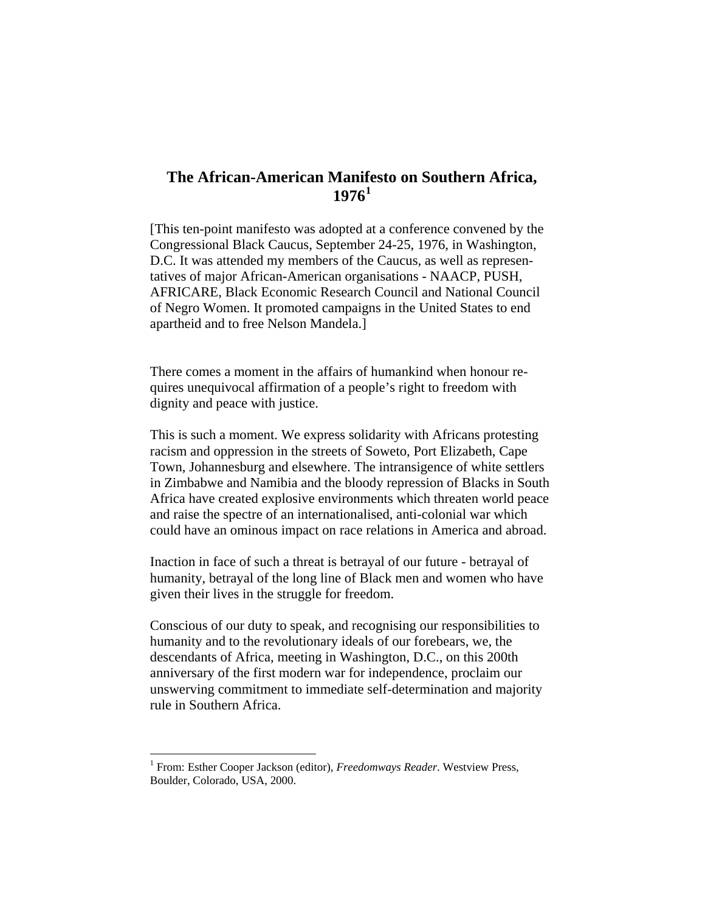## **The African-American Manifesto on Southern Africa, 1976[1](#page-0-0)**

[This ten-point manifesto was adopted at a conference convened by the Congressional Black Caucus, September 24-25, 1976, in Washington, D.C. It was attended my members of the Caucus, as well as representatives of major African-American organisations - NAACP, PUSH, AFRICARE, Black Economic Research Council and National Council of Negro Women. It promoted campaigns in the United States to end apartheid and to free Nelson Mandela.]

There comes a moment in the affairs of humankind when honour requires unequivocal affirmation of a people's right to freedom with dignity and peace with justice.

This is such a moment. We express solidarity with Africans protesting racism and oppression in the streets of Soweto, Port Elizabeth, Cape Town, Johannesburg and elsewhere. The intransigence of white settlers in Zimbabwe and Namibia and the bloody repression of Blacks in South Africa have created explosive environments which threaten world peace and raise the spectre of an internationalised, anti-colonial war which could have an ominous impact on race relations in America and abroad.

Inaction in face of such a threat is betrayal of our future - betrayal of humanity, betrayal of the long line of Black men and women who have given their lives in the struggle for freedom.

Conscious of our duty to speak, and recognising our responsibilities to humanity and to the revolutionary ideals of our forebears, we, the descendants of Africa, meeting in Washington, D.C., on this 200th anniversary of the first modern war for independence, proclaim our unswerving commitment to immediate self-determination and majority rule in Southern Africa.

 $\overline{a}$ 

<span id="page-0-0"></span><sup>&</sup>lt;sup>1</sup> From: Esther Cooper Jackson (editor), *Freedomways Reader*. Westview Press, Boulder, Colorado, USA, 2000.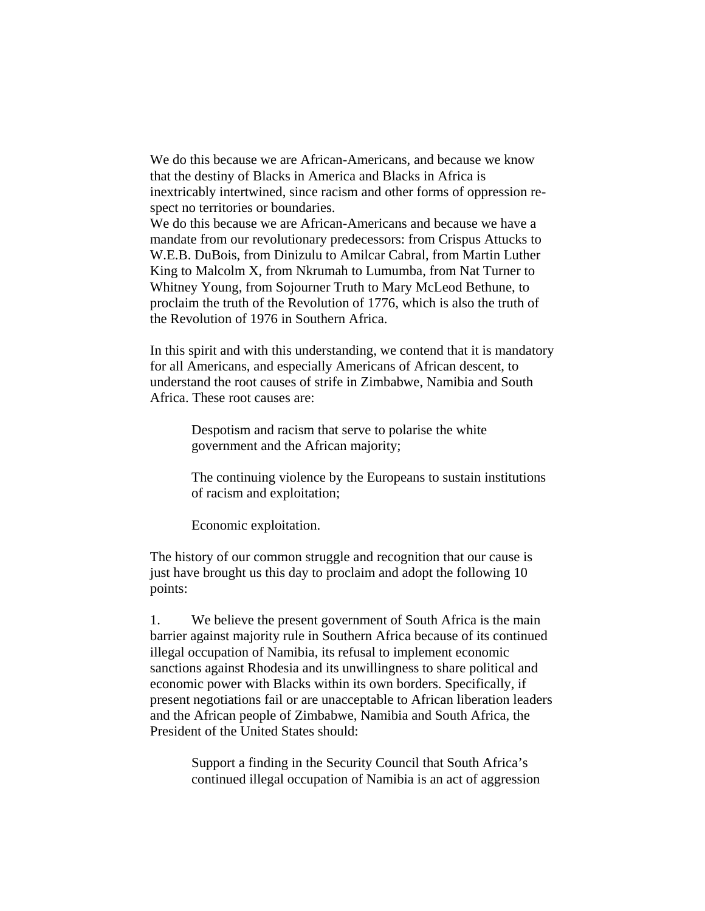We do this because we are African-Americans, and because we know that the destiny of Blacks in America and Blacks in Africa is inextricably intertwined, since racism and other forms of oppression respect no territories or boundaries.

We do this because we are African-Americans and because we have a mandate from our revolutionary predecessors: from Crispus Attucks to W.E.B. DuBois, from Dinizulu to Amilcar Cabral, from Martin Luther King to Malcolm X, from Nkrumah to Lumumba, from Nat Turner to Whitney Young, from Sojourner Truth to Mary McLeod Bethune, to proclaim the truth of the Revolution of 1776, which is also the truth of the Revolution of 1976 in Southern Africa.

In this spirit and with this understanding, we contend that it is mandatory for all Americans, and especially Americans of African descent, to understand the root causes of strife in Zimbabwe, Namibia and South Africa. These root causes are:

> Despotism and racism that serve to polarise the white government and the African majority;

The continuing violence by the Europeans to sustain institutions of racism and exploitation;

Economic exploitation.

The history of our common struggle and recognition that our cause is just have brought us this day to proclaim and adopt the following 10 points:

1. We believe the present government of South Africa is the main barrier against majority rule in Southern Africa because of its continued illegal occupation of Namibia, its refusal to implement economic sanctions against Rhodesia and its unwillingness to share political and economic power with Blacks within its own borders. Specifically, if present negotiations fail or are unacceptable to African liberation leaders and the African people of Zimbabwe, Namibia and South Africa, the President of the United States should:

> Support a finding in the Security Council that South Africa's continued illegal occupation of Namibia is an act of aggression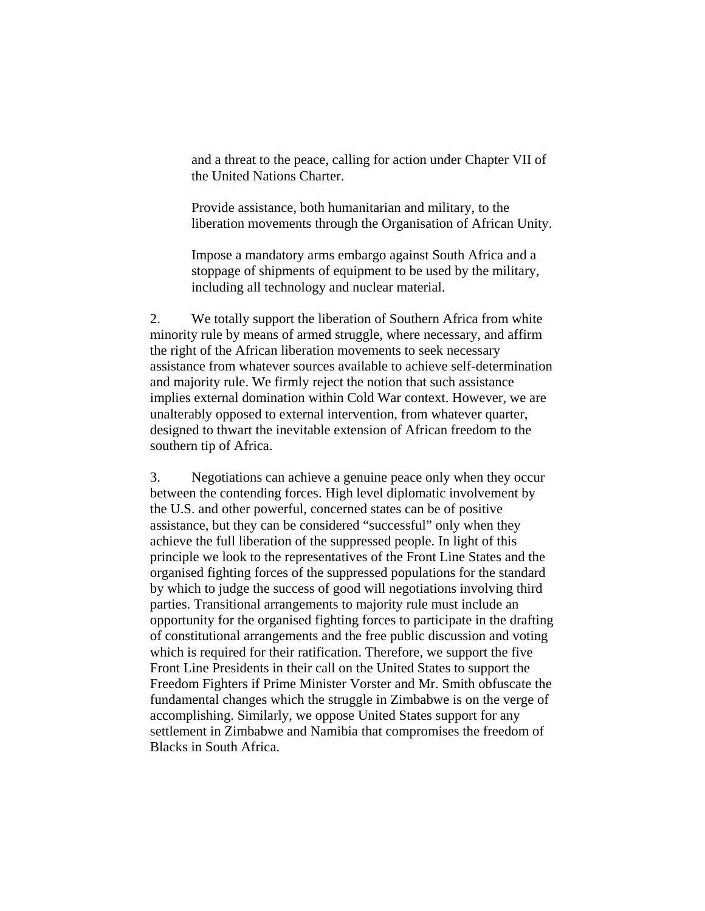and a threat to the peace, calling for action under Chapter VII of the United Nations Charter.

Provide assistance, both humanitarian and military, to the liberation movements through the Organisation of African Unity.

Impose a mandatory arms embargo against South Africa and a stoppage of shipments of equipment to be used by the military, including all technology and nuclear material.

2. We totally support the liberation of Southern Africa from white minority rule by means of armed struggle, where necessary, and affirm the right of the African liberation movements to seek necessary assistance from whatever sources available to achieve self-determination and majority rule. We firmly reject the notion that such assistance implies external domination within Cold War context. However, we are unalterably opposed to external intervention, from whatever quarter, designed to thwart the inevitable extension of African freedom to the southern tip of Africa.

3. Negotiations can achieve a genuine peace only when they occur between the contending forces. High level diplomatic involvement by the U.S. and other powerful, concerned states can be of positive assistance, but they can be considered "successful" only when they achieve the full liberation of the suppressed people. In light of this principle we look to the representatives of the Front Line States and the organised fighting forces of the suppressed populations for the standard by which to judge the success of good will negotiations involving third parties. Transitional arrangements to majority rule must include an opportunity for the organised fighting forces to participate in the drafting of constitutional arrangements and the free public discussion and voting which is required for their ratification. Therefore, we support the five Front Line Presidents in their call on the United States to support the Freedom Fighters if Prime Minister Vorster and Mr. Smith obfuscate the fundamental changes which the struggle in Zimbabwe is on the verge of accomplishing. Similarly, we oppose United States support for any settlement in Zimbabwe and Namibia that compromises the freedom of Blacks in South Africa.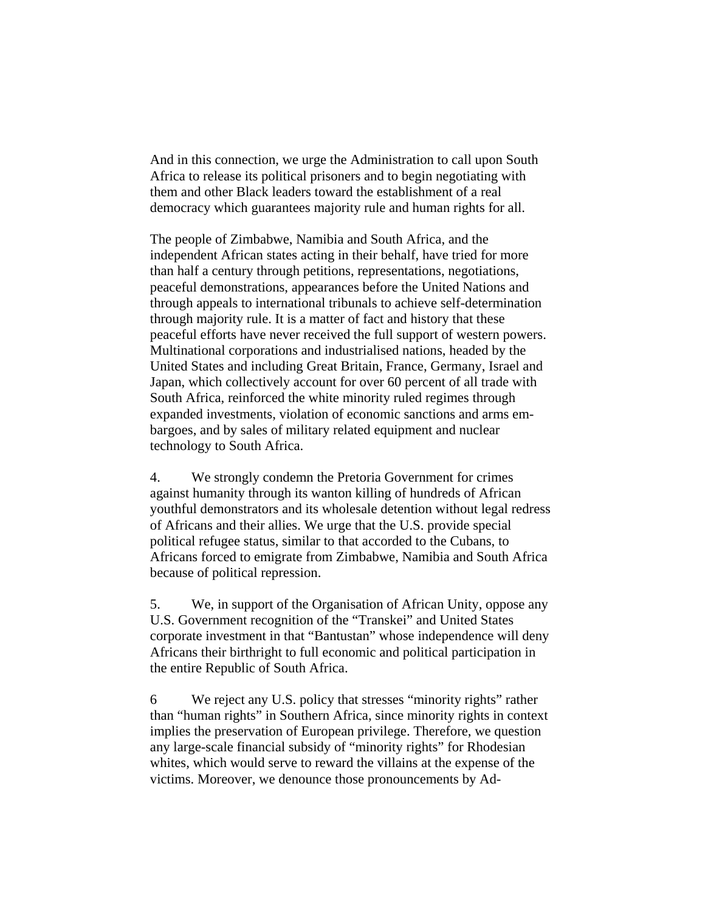And in this connection, we urge the Administration to call upon South Africa to release its political prisoners and to begin negotiating with them and other Black leaders toward the establishment of a real democracy which guarantees majority rule and human rights for all.

The people of Zimbabwe, Namibia and South Africa, and the independent African states acting in their behalf, have tried for more than half a century through petitions, representations, negotiations, peaceful demonstrations, appearances before the United Nations and through appeals to international tribunals to achieve self-determination through majority rule. It is a matter of fact and history that these peaceful efforts have never received the full support of western powers. Multinational corporations and industrialised nations, headed by the United States and including Great Britain, France, Germany, Israel and Japan, which collectively account for over 60 percent of all trade with South Africa, reinforced the white minority ruled regimes through expanded investments, violation of economic sanctions and arms embargoes, and by sales of military related equipment and nuclear technology to South Africa.

4. We strongly condemn the Pretoria Government for crimes against humanity through its wanton killing of hundreds of African youthful demonstrators and its wholesale detention without legal redress of Africans and their allies. We urge that the U.S. provide special political refugee status, similar to that accorded to the Cubans, to Africans forced to emigrate from Zimbabwe, Namibia and South Africa because of political repression.

5. We, in support of the Organisation of African Unity, oppose any U.S. Government recognition of the "Transkei" and United States corporate investment in that "Bantustan" whose independence will deny Africans their birthright to full economic and political participation in the entire Republic of South Africa.

6 We reject any U.S. policy that stresses "minority rights" rather than "human rights" in Southern Africa, since minority rights in context implies the preservation of European privilege. Therefore, we question any large-scale financial subsidy of "minority rights" for Rhodesian whites, which would serve to reward the villains at the expense of the victims. Moreover, we denounce those pronouncements by Ad-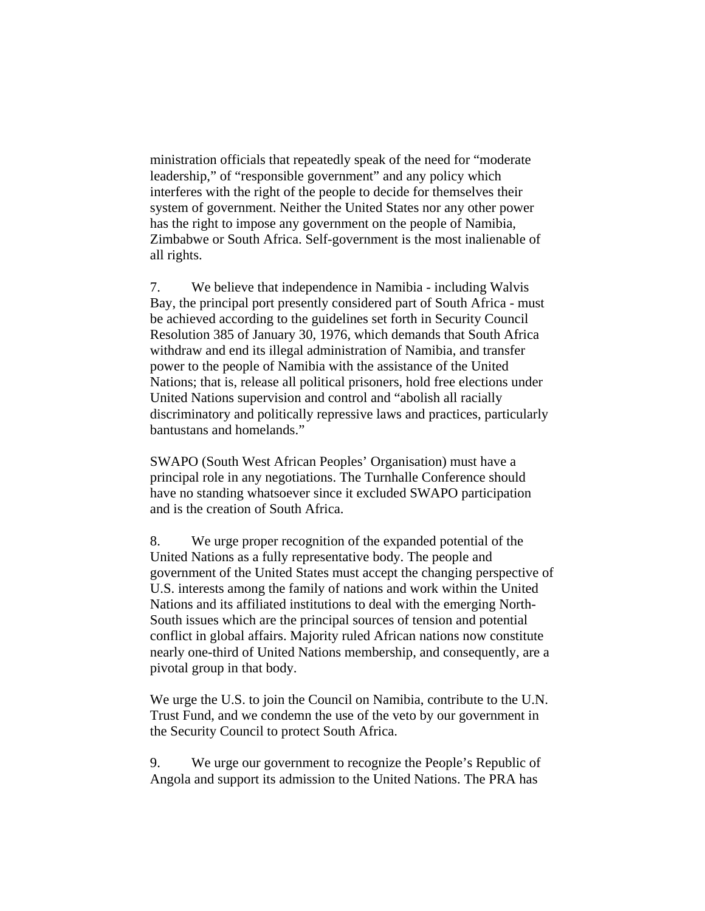ministration officials that repeatedly speak of the need for "moderate leadership," of "responsible government" and any policy which interferes with the right of the people to decide for themselves their system of government. Neither the United States nor any other power has the right to impose any government on the people of Namibia, Zimbabwe or South Africa. Self-government is the most inalienable of all rights.

7. We believe that independence in Namibia - including Walvis Bay, the principal port presently considered part of South Africa - must be achieved according to the guidelines set forth in Security Council Resolution 385 of January 30, 1976, which demands that South Africa withdraw and end its illegal administration of Namibia, and transfer power to the people of Namibia with the assistance of the United Nations; that is, release all political prisoners, hold free elections under United Nations supervision and control and "abolish all racially discriminatory and politically repressive laws and practices, particularly bantustans and homelands."

SWAPO (South West African Peoples' Organisation) must have a principal role in any negotiations. The Turnhalle Conference should have no standing whatsoever since it excluded SWAPO participation and is the creation of South Africa.

8. We urge proper recognition of the expanded potential of the United Nations as a fully representative body. The people and government of the United States must accept the changing perspective of U.S. interests among the family of nations and work within the United Nations and its affiliated institutions to deal with the emerging North-South issues which are the principal sources of tension and potential conflict in global affairs. Majority ruled African nations now constitute nearly one-third of United Nations membership, and consequently, are a pivotal group in that body.

We urge the U.S. to join the Council on Namibia, contribute to the U.N. Trust Fund, and we condemn the use of the veto by our government in the Security Council to protect South Africa.

9. We urge our government to recognize the People's Republic of Angola and support its admission to the United Nations. The PRA has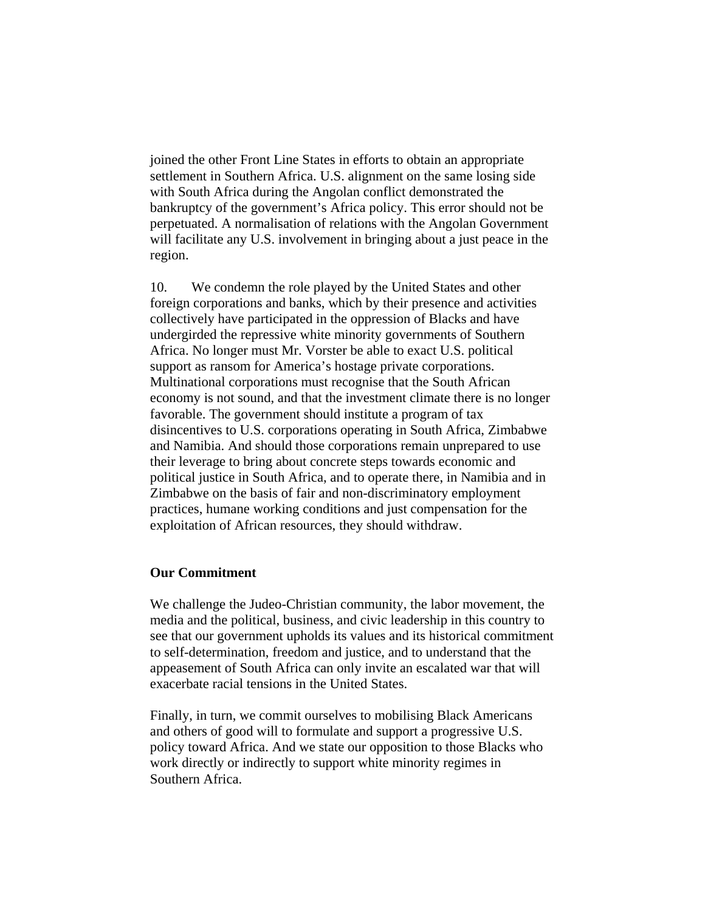joined the other Front Line States in efforts to obtain an appropriate settlement in Southern Africa. U.S. alignment on the same losing side with South Africa during the Angolan conflict demonstrated the bankruptcy of the government's Africa policy. This error should not be perpetuated. A normalisation of relations with the Angolan Government will facilitate any U.S. involvement in bringing about a just peace in the region.

10. We condemn the role played by the United States and other foreign corporations and banks, which by their presence and activities collectively have participated in the oppression of Blacks and have undergirded the repressive white minority governments of Southern Africa. No longer must Mr. Vorster be able to exact U.S. political support as ransom for America's hostage private corporations. Multinational corporations must recognise that the South African economy is not sound, and that the investment climate there is no longer favorable. The government should institute a program of tax disincentives to U.S. corporations operating in South Africa, Zimbabwe and Namibia. And should those corporations remain unprepared to use their leverage to bring about concrete steps towards economic and political justice in South Africa, and to operate there, in Namibia and in Zimbabwe on the basis of fair and non-discriminatory employment practices, humane working conditions and just compensation for the exploitation of African resources, they should withdraw.

## **Our Commitment**

We challenge the Judeo-Christian community, the labor movement, the media and the political, business, and civic leadership in this country to see that our government upholds its values and its historical commitment to self-determination, freedom and justice, and to understand that the appeasement of South Africa can only invite an escalated war that will exacerbate racial tensions in the United States.

Finally, in turn, we commit ourselves to mobilising Black Americans and others of good will to formulate and support a progressive U.S. policy toward Africa. And we state our opposition to those Blacks who work directly or indirectly to support white minority regimes in Southern Africa.